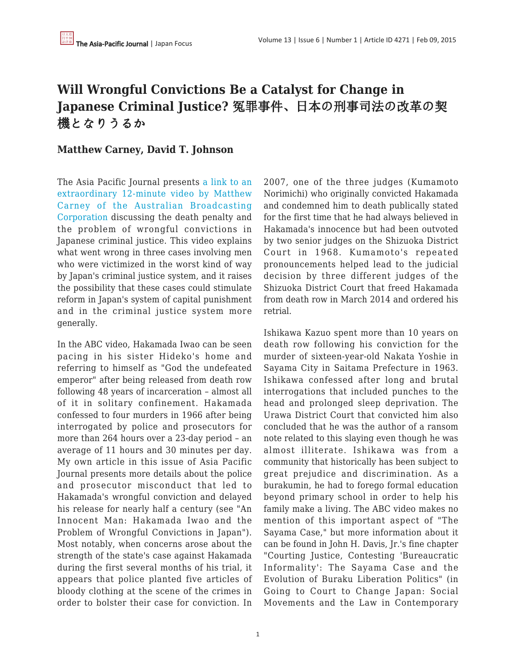## **Will Wrongful Convictions Be a Catalyst for Change in Japanese Criminal Justice?** 冤罪事件、日本の刑事司法の改革の契 機となりうるか

## **Matthew Carney, David T. Johnson**

The Asia Pacific Journal presents [a link to an](https://apjjf.org/site/view/4262) [extraordinary 12-minute video by Matthew](https://apjjf.org/site/view/4262) [Carney of the Australian Broadcasting](https://apjjf.org/site/view/4262) [Corporation](https://apjjf.org/site/view/4262) discussing the death penalty and the problem of wrongful convictions in Japanese criminal justice. This video explains what went wrong in three cases involving men who were victimized in the worst kind of way by Japan's criminal justice system, and it raises the possibility that these cases could stimulate reform in Japan's system of capital punishment and in the criminal justice system more generally.

In the ABC video, Hakamada Iwao can be seen pacing in his sister Hideko's home and referring to himself as "God the undefeated emperor" after being released from death row following 48 years of incarceration – almost all of it in solitary confinement. Hakamada confessed to four murders in 1966 after being interrogated by police and prosecutors for more than 264 hours over a 23-day period – an average of 11 hours and 30 minutes per day. My own article in this issue of Asia Pacific Journal presents more details about the police and prosecutor misconduct that led to Hakamada's wrongful conviction and delayed his release for nearly half a century (see "An Innocent Man: Hakamada Iwao and the Problem of Wrongful Convictions in Japan"). Most notably, when concerns arose about the strength of the state's case against Hakamada during the first several months of his trial, it appears that police planted five articles of bloody clothing at the scene of the crimes in order to bolster their case for conviction. In 2007, one of the three judges (Kumamoto Norimichi) who originally convicted Hakamada and condemned him to death publically stated for the first time that he had always believed in Hakamada's innocence but had been outvoted by two senior judges on the Shizuoka District Court in 1968. Kumamoto's repeated pronouncements helped lead to the judicial decision by three different judges of the Shizuoka District Court that freed Hakamada from death row in March 2014 and ordered his retrial.

Ishikawa Kazuo spent more than 10 years on death row following his conviction for the murder of sixteen-year-old Nakata Yoshie in Sayama City in Saitama Prefecture in 1963. Ishikawa confessed after long and brutal interrogations that included punches to the head and prolonged sleep deprivation. The Urawa District Court that convicted him also concluded that he was the author of a ransom note related to this slaying even though he was almost illiterate. Ishikawa was from a community that historically has been subject to great prejudice and discrimination. As a burakumin, he had to forego formal education beyond primary school in order to help his family make a living. The ABC video makes no mention of this important aspect of "The Sayama Case," but more information about it can be found in John H. Davis, Jr.'s fine chapter "Courting Justice, Contesting 'Bureaucratic Informality': The Sayama Case and the Evolution of Buraku Liberation Politics" (in Going to Court to Change Japan: Social Movements and the Law in Contemporary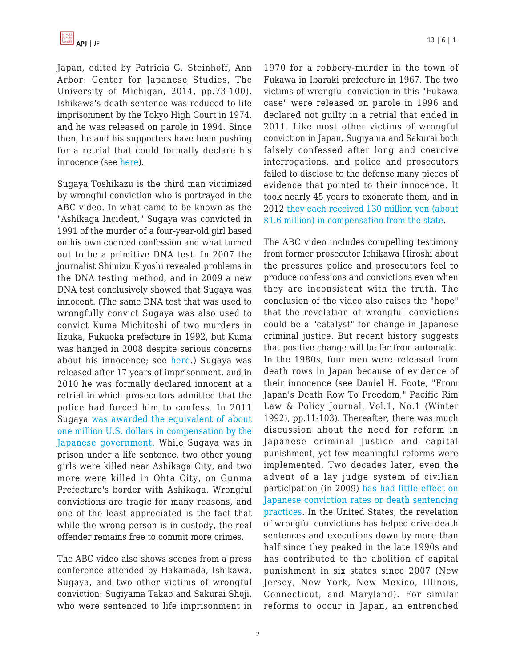Japan, edited by Patricia G. Steinhoff, Ann Arbor: Center for Japanese Studies, The University of Michigan, 2014, pp.73-100). Ishikawa's death sentence was reduced to life imprisonment by the Tokyo High Court in 1974, and he was released on parole in 1994. Since then, he and his supporters have been pushing for a retrial that could formally declare his innocence (see [here](http://www.imadr.org/sayama/)).

Sugaya Toshikazu is the third man victimized by wrongful conviction who is portrayed in the ABC video. In what came to be known as the "Ashikaga Incident," Sugaya was convicted in 1991 of the murder of a four-year-old girl based on his own coerced confession and what turned out to be a primitive DNA test. In 2007 the journalist Shimizu Kiyoshi revealed problems in the DNA testing method, and in 2009 a new DNA test conclusively showed that Sugaya was innocent. (The same DNA test that was used to wrongfully convict Sugaya was also used to convict Kuma Michitoshi of two murders in Iizuka, Fukuoka prefecture in 1992, but Kuma was hanged in 2008 despite serious concerns about his innocence; see [here.](http://www.jiadep.org/Kuma_Michitoshi.html)) Sugaya was released after 17 years of imprisonment, and in 2010 he was formally declared innocent at a retrial in which prosecutors admitted that the police had forced him to confess. In 2011 Sugaya [was awarded the equivalent of about](http://wrongfulconvictionsblog.org/2012/05/07/implicated-by-dna-exonerated-by-dna-the-ashikaga-case/) [one million U.S. dollars in compensation by the](http://wrongfulconvictionsblog.org/2012/05/07/implicated-by-dna-exonerated-by-dna-the-ashikaga-case/) [Japanese government.](http://wrongfulconvictionsblog.org/2012/05/07/implicated-by-dna-exonerated-by-dna-the-ashikaga-case/) While Sugaya was in prison under a life sentence, two other young girls were killed near Ashikaga City, and two more were killed in Ohta City, on Gunma Prefecture's border with Ashikaga. Wrongful convictions are tragic for many reasons, and one of the least appreciated is the fact that while the wrong person is in custody, the real offender remains free to commit more crimes.

The ABC video also shows scenes from a press conference attended by Hakamada, Ishikawa, Sugaya, and two other victims of wrongful conviction: Sugiyama Takao and Sakurai Shoji, who were sentenced to life imprisonment in 1970 for a robbery-murder in the town of Fukawa in Ibaraki prefecture in 1967. The two victims of wrongful conviction in this "Fukawa case" were released on parole in 1996 and declared not guilty in a retrial that ended in 2011. Like most other victims of wrongful conviction in Japan, Sugiyama and Sakurai both falsely confessed after long and coercive interrogations, and police and prosecutors failed to disclose to the defense many pieces of evidence that pointed to their innocence. It took nearly 45 years to exonerate them, and in 2012 [they each received 130 million yen \(about](http://www.jiadep.org/Fukawa.html) [\\$1.6 million\) in compensation from the state](http://www.jiadep.org/Fukawa.html).

The ABC video includes compelling testimony from former prosecutor Ichikawa Hiroshi about the pressures police and prosecutors feel to produce confessions and convictions even when they are inconsistent with the truth. The conclusion of the video also raises the "hope" that the revelation of wrongful convictions could be a "catalyst" for change in Japanese criminal justice. But recent history suggests that positive change will be far from automatic. In the 1980s, four men were released from death rows in Japan because of evidence of their innocence (see Daniel H. Foote, "From Japan's Death Row To Freedom," Pacific Rim Law & Policy Journal, Vol.1, No.1 (Winter 1992), pp.11-103). Thereafter, there was much discussion about the need for reform in Japanese criminal justice and capital punishment, yet few meaningful reforms were implemented. Two decades later, even the advent of a lay judge system of civilian participation (in 2009) [has had little effect on](http://www.japanfocus.org/-David_T_-Johnson/3461) [Japanese conviction rates or death sentencing](http://www.japanfocus.org/-David_T_-Johnson/3461) [practices.](http://www.japanfocus.org/-David_T_-Johnson/3461) In the United States, the revelation of wrongful convictions has helped drive death sentences and executions down by more than half since they peaked in the late 1990s and has contributed to the abolition of capital punishment in six states since 2007 (New Jersey, New York, New Mexico, Illinois, Connecticut, and Maryland). For similar reforms to occur in Japan, an entrenched